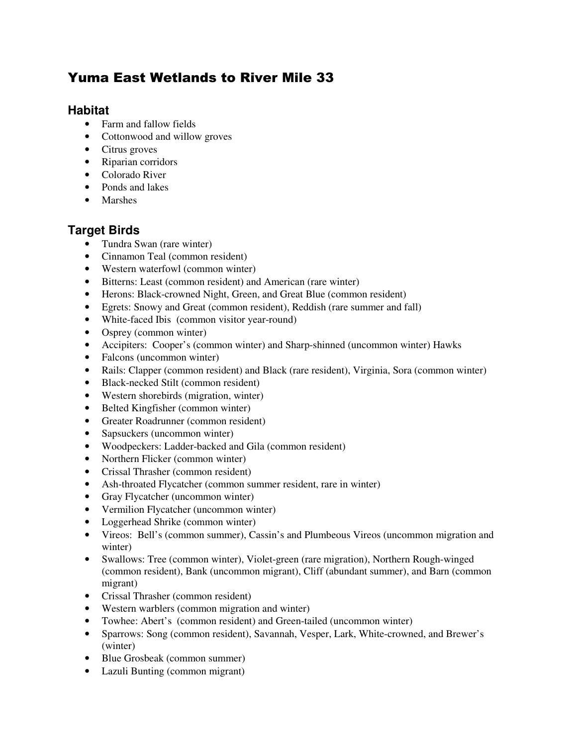# Yuma East Wetlands to River Mile 33

# **Habitat**

- Farm and fallow fields
- Cottonwood and willow groves
- Citrus groves
- Riparian corridors
- Colorado River
- Ponds and lakes
- Marshes

# **Target Birds**

- Tundra Swan (rare winter)
- Cinnamon Teal (common resident)
- Western waterfowl (common winter)
- Bitterns: Least (common resident) and American (rare winter)
- Herons: Black-crowned Night, Green, and Great Blue (common resident)
- Egrets: Snowy and Great (common resident), Reddish (rare summer and fall)
- White-faced Ibis (common visitor year-round)
- Osprey (common winter)
- Accipiters: Cooper's (common winter) and Sharp-shinned (uncommon winter) Hawks
- Falcons (uncommon winter)
- Rails: Clapper (common resident) and Black (rare resident), Virginia, Sora (common winter)
- Black-necked Stilt (common resident)
- Western shorebirds (migration, winter)
- Belted Kingfisher (common winter)
- Greater Roadrunner (common resident)
- Sapsuckers (uncommon winter)
- Woodpeckers: Ladder-backed and Gila (common resident)
- Northern Flicker (common winter)
- Crissal Thrasher (common resident)
- Ash-throated Flycatcher (common summer resident, rare in winter)
- Gray Flycatcher (uncommon winter)
- Vermilion Flycatcher (uncommon winter)
- Loggerhead Shrike (common winter)
- Vireos: Bell's (common summer), Cassin's and Plumbeous Vireos (uncommon migration and winter)
- Swallows: Tree (common winter), Violet-green (rare migration), Northern Rough-winged (common resident), Bank (uncommon migrant), Cliff (abundant summer), and Barn (common migrant)
- Crissal Thrasher (common resident)
- Western warblers (common migration and winter)
- Towhee: Abert's (common resident) and Green-tailed (uncommon winter)
- Sparrows: Song (common resident), Savannah, Vesper, Lark, White-crowned, and Brewer's (winter)
- Blue Grosbeak (common summer)
- Lazuli Bunting (common migrant)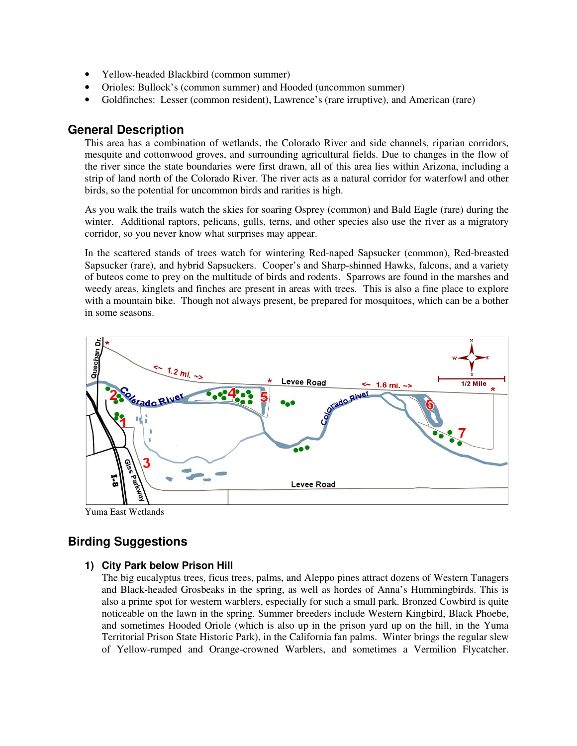- Yellow-headed Blackbird (common summer)
- Orioles: Bullock's (common summer) and Hooded (uncommon summer)
- Goldfinches: Lesser (common resident), Lawrence's (rare irruptive), and American (rare)

### **General Description**

This area has a combination of wetlands, the Colorado River and side channels, riparian corridors, mesquite and cottonwood groves, and surrounding agricultural fields. Due to changes in the flow of the river since the state boundaries were first drawn, all of this area lies within Arizona, including a strip of land north of the Colorado River. The river acts as a natural corridor for waterfowl and other birds, so the potential for uncommon birds and rarities is high.

As you walk the trails watch the skies for soaring Osprey (common) and Bald Eagle (rare) during the winter. Additional raptors, pelicans, gulls, terns, and other species also use the river as a migratory corridor, so you never know what surprises may appear.

In the scattered stands of trees watch for wintering Red-naped Sapsucker (common), Red-breasted Sapsucker (rare), and hybrid Sapsuckers. Cooper's and Sharp-shinned Hawks, falcons, and a variety of buteos come to prey on the multitude of birds and rodents. Sparrows are found in the marshes and weedy areas, kinglets and finches are present in areas with trees. This is also a fine place to explore with a mountain bike. Though not always present, be prepared for mosquitoes, which can be a bother in some seasons.



Yuma East Wetlands

# **Birding Suggestions**

#### **1) City Park below Prison Hill**

The big eucalyptus trees, ficus trees, palms, and Aleppo pines attract dozens of Western Tanagers and Black-headed Grosbeaks in the spring, as well as hordes of Anna's Hummingbirds. This is also a prime spot for western warblers, especially for such a small park. Bronzed Cowbird is quite noticeable on the lawn in the spring. Summer breeders include Western Kingbird, Black Phoebe, and sometimes Hooded Oriole (which is also up in the prison yard up on the hill, in the Yuma Territorial Prison State Historic Park), in the California fan palms. Winter brings the regular slew of Yellow-rumped and Orange-crowned Warblers, and sometimes a Vermilion Flycatcher.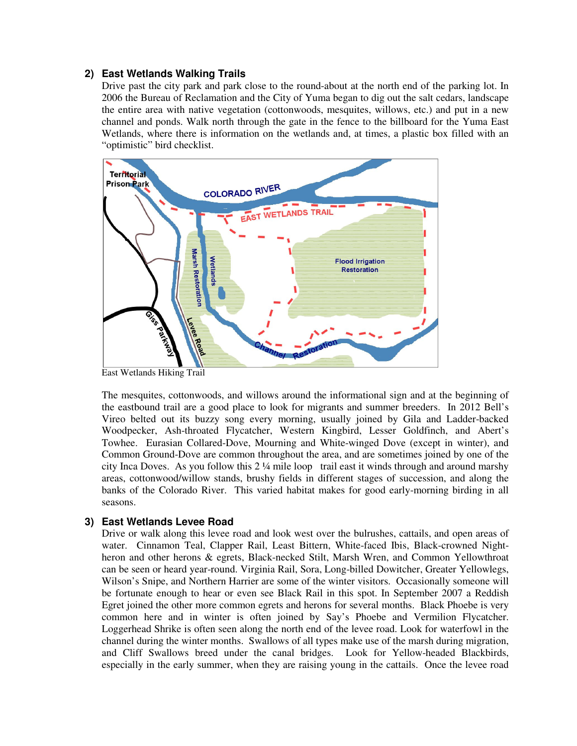### **2) East Wetlands Walking Trails**

Drive past the city park and park close to the round-about at the north end of the parking lot. In 2006 the Bureau of Reclamation and the City of Yuma began to dig out the salt cedars, landscape the entire area with native vegetation (cottonwoods, mesquites, willows, etc.) and put in a new channel and ponds. Walk north through the gate in the fence to the billboard for the Yuma East Wetlands, where there is information on the wetlands and, at times, a plastic box filled with an "optimistic" bird checklist.



East Wetlands Hiking Trail

The mesquites, cottonwoods, and willows around the informational sign and at the beginning of the eastbound trail are a good place to look for migrants and summer breeders. In 2012 Bell's Vireo belted out its buzzy song every morning, usually joined by Gila and Ladder-backed Woodpecker, Ash-throated Flycatcher, Western Kingbird, Lesser Goldfinch, and Abert's Towhee. Eurasian Collared-Dove, Mourning and White-winged Dove (except in winter), and Common Ground-Dove are common throughout the area, and are sometimes joined by one of the city Inca Doves. As you follow this 2 ¼ mile loop trail east it winds through and around marshy areas, cottonwood/willow stands, brushy fields in different stages of succession, and along the banks of the Colorado River. This varied habitat makes for good early-morning birding in all seasons.

### **3) East Wetlands Levee Road**

Drive or walk along this levee road and look west over the bulrushes, cattails, and open areas of water. Cinnamon Teal, Clapper Rail, Least Bittern, White-faced Ibis, Black-crowned Nightheron and other herons & egrets, Black-necked Stilt, Marsh Wren, and Common Yellowthroat can be seen or heard year-round. Virginia Rail, Sora, Long-billed Dowitcher, Greater Yellowlegs, Wilson's Snipe, and Northern Harrier are some of the winter visitors. Occasionally someone will be fortunate enough to hear or even see Black Rail in this spot. In September 2007 a Reddish Egret joined the other more common egrets and herons for several months. Black Phoebe is very common here and in winter is often joined by Say's Phoebe and Vermilion Flycatcher. Loggerhead Shrike is often seen along the north end of the levee road. Look for waterfowl in the channel during the winter months. Swallows of all types make use of the marsh during migration, and Cliff Swallows breed under the canal bridges. Look for Yellow-headed Blackbirds, especially in the early summer, when they are raising young in the cattails. Once the levee road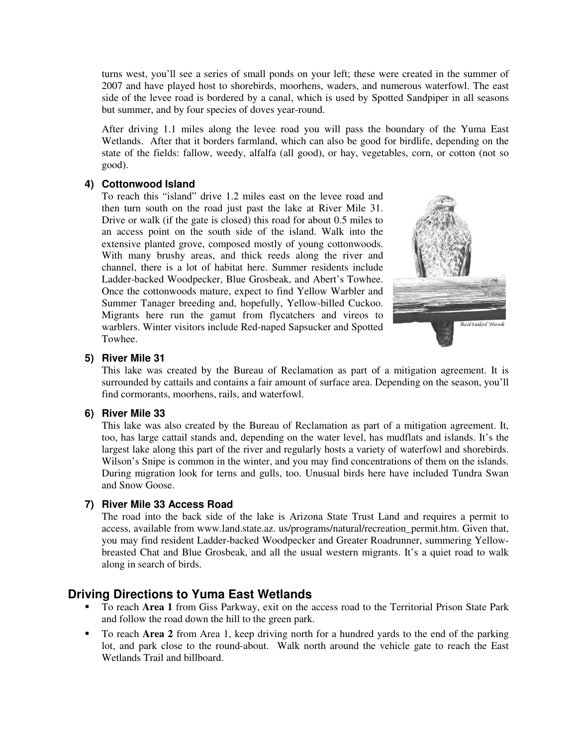turns west, you'll see a series of small ponds on your left; these were created in the summer of 2007 and have played host to shorebirds, moorhens, waders, and numerous waterfowl. The east side of the levee road is bordered by a canal, which is used by Spotted Sandpiper in all seasons but summer, and by four species of doves year-round.

After driving 1.1 miles along the levee road you will pass the boundary of the Yuma East Wetlands. After that it borders farmland, which can also be good for birdlife, depending on the state of the fields: fallow, weedy, alfalfa (all good), or hay, vegetables, corn, or cotton (not so good).

#### **4) Cottonwood Island**

To reach this "island" drive 1.2 miles east on the levee road and then turn south on the road just past the lake at River Mile 31. Drive or walk (if the gate is closed) this road for about 0.5 miles to an access point on the south side of the island. Walk into the extensive planted grove, composed mostly of young cottonwoods. With many brushy areas, and thick reeds along the river and channel, there is a lot of habitat here. Summer residents include Ladder-backed Woodpecker, Blue Grosbeak, and Abert's Towhee. Once the cottonwoods mature, expect to find Yellow Warbler and Summer Tanager breeding and, hopefully, Yellow-billed Cuckoo. Migrants here run the gamut from flycatchers and vireos to warblers. Winter visitors include Red-naped Sapsucker and Spotted Towhee.



#### **5) River Mile 31**

This lake was created by the Bureau of Reclamation as part of a mitigation agreement. It is surrounded by cattails and contains a fair amount of surface area. Depending on the season, you'll find cormorants, moorhens, rails, and waterfowl.

#### **6) River Mile 33**

This lake was also created by the Bureau of Reclamation as part of a mitigation agreement. It, too, has large cattail stands and, depending on the water level, has mudflats and islands. It's the largest lake along this part of the river and regularly hosts a variety of waterfowl and shorebirds. Wilson's Snipe is common in the winter, and you may find concentrations of them on the islands. During migration look for terns and gulls, too. Unusual birds here have included Tundra Swan and Snow Goose.

#### **7) River Mile 33 Access Road**

The road into the back side of the lake is Arizona State Trust Land and requires a permit to access, available from www.land.state.az. us/programs/natural/recreation\_permit.htm. Given that, you may find resident Ladder-backed Woodpecker and Greater Roadrunner, summering Yellowbreasted Chat and Blue Grosbeak, and all the usual western migrants. It's a quiet road to walk along in search of birds.

## **Driving Directions to Yuma East Wetlands**

- To reach **Area 1** from Giss Parkway, exit on the access road to the Territorial Prison State Park and follow the road down the hill to the green park.
- To reach **Area 2** from Area 1, keep driving north for a hundred yards to the end of the parking lot, and park close to the round-about. Walk north around the vehicle gate to reach the East Wetlands Trail and billboard.